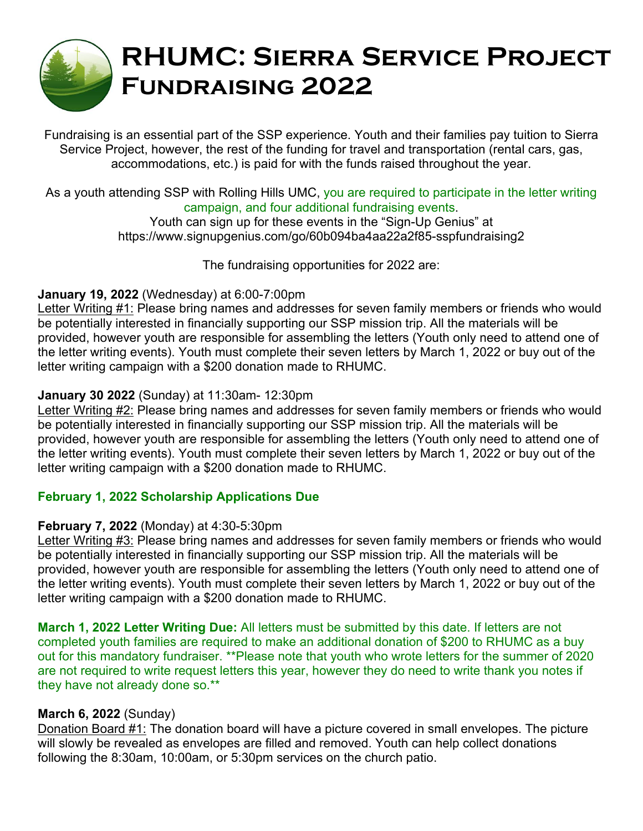

# **RHUMC: Sierra Service Project Fundraising 2022**

Fundraising is an essential part of the SSP experience. Youth and their families pay tuition to Sierra Service Project, however, the rest of the funding for travel and transportation (rental cars, gas, accommodations, etc.) is paid for with the funds raised throughout the year.

#### As a youth attending SSP with Rolling Hills UMC, you are required to participate in the letter writing campaign, and four additional fundraising events.

Youth can sign up for these events in the "Sign-Up Genius" at https://www.signupgenius.com/go/60b094ba4aa22a2f85-sspfundraising2

The fundraising opportunities for 2022 are:

# **January 19, 2022** (Wednesday) at 6:00-7:00pm

Letter Writing #1: Please bring names and addresses for seven family members or friends who would be potentially interested in financially supporting our SSP mission trip. All the materials will be provided, however youth are responsible for assembling the letters (Youth only need to attend one of the letter writing events). Youth must complete their seven letters by March 1, 2022 or buy out of the letter writing campaign with a \$200 donation made to RHUMC.

# **January 30 2022** (Sunday) at 11:30am- 12:30pm

Letter Writing #2: Please bring names and addresses for seven family members or friends who would be potentially interested in financially supporting our SSP mission trip. All the materials will be provided, however youth are responsible for assembling the letters (Youth only need to attend one of the letter writing events). Youth must complete their seven letters by March 1, 2022 or buy out of the letter writing campaign with a \$200 donation made to RHUMC.

# **February 1, 2022 Scholarship Applications Due**

# **February 7, 2022** (Monday) at 4:30-5:30pm

Letter Writing #3: Please bring names and addresses for seven family members or friends who would be potentially interested in financially supporting our SSP mission trip. All the materials will be provided, however youth are responsible for assembling the letters (Youth only need to attend one of the letter writing events). Youth must complete their seven letters by March 1, 2022 or buy out of the letter writing campaign with a \$200 donation made to RHUMC.

**March 1, 2022 Letter Writing Due:** All letters must be submitted by this date. If letters are not completed youth families are required to make an additional donation of \$200 to RHUMC as a buy out for this mandatory fundraiser. \*\*Please note that youth who wrote letters for the summer of 2020 are not required to write request letters this year, however they do need to write thank you notes if they have not already done so.\*\*

# **March 6, 2022** (Sunday)

Donation Board #1: The donation board will have a picture covered in small envelopes. The picture will slowly be revealed as envelopes are filled and removed. Youth can help collect donations following the 8:30am, 10:00am, or 5:30pm services on the church patio.